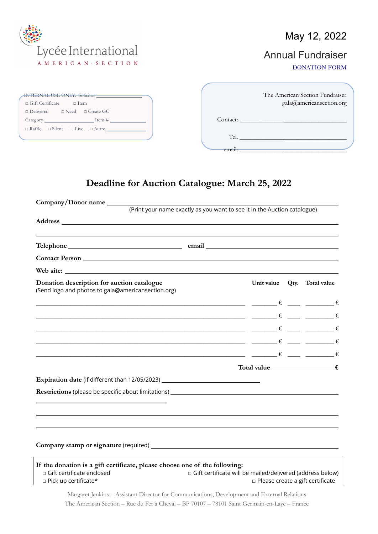

#### May 12, 2022

### Annual Fundraiser

DONATION FORM

| <b>INTERNAL USE ONLY: Solicitor</b><br>$\Box$ Gift Certificate<br>$\Box$ Item | The American Section Fundraiser<br>gala@americansection.org |
|-------------------------------------------------------------------------------|-------------------------------------------------------------|
| $\Box$ Delivered $\Box$ Need $\Box$ Create GC                                 |                                                             |
| $\text{Category}$ $\text{Item #}$                                             | Contact:                                                    |
| $\Box$ Raffle $\Box$ Silent $\Box$ Live $\Box$ Autre                          | Tel.                                                        |

#### **Deadline for Auction Catalogue: March 25, 2022**

email: \_\_\_\_\_\_\_\_\_\_\_\_\_\_**\_\_\_\_\_\_\_\_\_\_\_\_\_\_\_\_\_\_**

| Company/Donor name                                                                                                                                                                                                                                                                                                                                                                                                                                                                       |                                                                          |  |                                         |
|------------------------------------------------------------------------------------------------------------------------------------------------------------------------------------------------------------------------------------------------------------------------------------------------------------------------------------------------------------------------------------------------------------------------------------------------------------------------------------------|--------------------------------------------------------------------------|--|-----------------------------------------|
|                                                                                                                                                                                                                                                                                                                                                                                                                                                                                          | (Print your name exactly as you want to see it in the Auction catalogue) |  |                                         |
|                                                                                                                                                                                                                                                                                                                                                                                                                                                                                          |                                                                          |  |                                         |
|                                                                                                                                                                                                                                                                                                                                                                                                                                                                                          |                                                                          |  |                                         |
|                                                                                                                                                                                                                                                                                                                                                                                                                                                                                          |                                                                          |  |                                         |
|                                                                                                                                                                                                                                                                                                                                                                                                                                                                                          |                                                                          |  |                                         |
| Web site:                                                                                                                                                                                                                                                                                                                                                                                                                                                                                |                                                                          |  |                                         |
| Donation description for auction catalogue<br>(Send logo and photos to gala@americansection.org)                                                                                                                                                                                                                                                                                                                                                                                         |                                                                          |  | Unit value Qty. Total value             |
| $\begin{array}{cccccccccccccc} \epsilon & \text{---} & \epsilon & \text{---} & \epsilon \end{array}$                                                                                                                                                                                                                                                                                                                                                                                     |                                                                          |  |                                         |
| where the contract of the contract of $\epsilon$ and $\epsilon$ and $\epsilon$                                                                                                                                                                                                                                                                                                                                                                                                           |                                                                          |  |                                         |
| $\epsilon$ and $\epsilon$ and $\epsilon$ and $\epsilon$ and $\epsilon$ and $\epsilon$                                                                                                                                                                                                                                                                                                                                                                                                    |                                                                          |  |                                         |
| $\epsilon = \frac{1}{\sqrt{2\pi}}$                                                                                                                                                                                                                                                                                                                                                                                                                                                       |                                                                          |  |                                         |
| $\begin{array}{ccccccc} \epsilon & \multicolumn{3}{c}{} & \multicolumn{3}{c}{} & \multicolumn{3}{c}{} & \multicolumn{3}{c}{} & \multicolumn{3}{c}{} & \multicolumn{3}{c}{} & \multicolumn{3}{c}{} & \multicolumn{3}{c}{} & \multicolumn{3}{c}{} & \multicolumn{3}{c}{} & \multicolumn{3}{c}{} & \multicolumn{3}{c}{} & \multicolumn{3}{c}{} & \multicolumn{3}{c}{} & \multicolumn{3}{c}{} & \multicolumn{3}{c}{} & \multicolumn{3}{c}{} & \multicolumn{3}{c}{} & \multicolumn{3}{c}{} &$ |                                                                          |  |                                         |
|                                                                                                                                                                                                                                                                                                                                                                                                                                                                                          |                                                                          |  | Total value $f(x) = f(x)$               |
| Expiration date (if different than 12/05/2023) _________________________________                                                                                                                                                                                                                                                                                                                                                                                                         |                                                                          |  |                                         |
|                                                                                                                                                                                                                                                                                                                                                                                                                                                                                          |                                                                          |  |                                         |
|                                                                                                                                                                                                                                                                                                                                                                                                                                                                                          |                                                                          |  |                                         |
|                                                                                                                                                                                                                                                                                                                                                                                                                                                                                          |                                                                          |  |                                         |
|                                                                                                                                                                                                                                                                                                                                                                                                                                                                                          |                                                                          |  |                                         |
|                                                                                                                                                                                                                                                                                                                                                                                                                                                                                          |                                                                          |  |                                         |
| If the donation is a gift certificate, please choose one of the following:<br>□ Gift certificate enclosed<br>$\square$ Pick up certificate*                                                                                                                                                                                                                                                                                                                                              | □ Gift certificate will be mailed/delivered (address below)              |  | $\Box$ Please create a gift certificate |

Margaret Jenkins – Assistant Director for Communications, Development and External Relations The American Section – Rue du Fer à Cheval – BP 70107 – 78101 Saint Germain-en-Laye – France